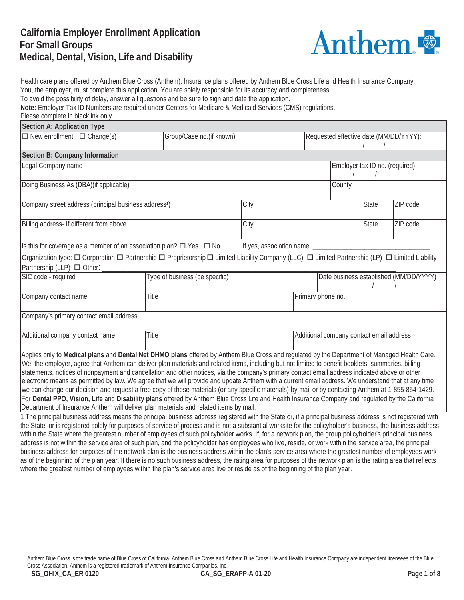## **California Employer Enrollment Application For Small Groups Medical, Dental, Vision, Life and Disability**



Health care plans offered by Anthem Blue Cross (Anthem). Insurance plans offered by Anthem Blue Cross Life and Health Insurance Company. You, the employer, must complete this application. You are solely responsible for its accuracy and completeness. To avoid the possibility of delay, answer all questions and be sure to sign and date the application. **Note:** Employer Tax ID Numbers are required under Centers for Medicare & Medicaid Services (CMS) regulations. Please complete in black ink only.

| <b>Section A: Application Type</b>                                                                                                                            |       |                                |                             |                                |                                          |                                        |          |  |
|---------------------------------------------------------------------------------------------------------------------------------------------------------------|-------|--------------------------------|-----------------------------|--------------------------------|------------------------------------------|----------------------------------------|----------|--|
| $\Box$ New enrollment $\Box$ Change(s)                                                                                                                        |       | Group/Case no.(if known)       |                             |                                | Requested effective date (MM/DD/YYYY):   |                                        |          |  |
|                                                                                                                                                               |       |                                |                             |                                |                                          |                                        |          |  |
| Section B: Company Information                                                                                                                                |       |                                |                             |                                |                                          |                                        |          |  |
| Legal Company name                                                                                                                                            |       |                                |                             | Employer tax ID no. (required) |                                          |                                        |          |  |
|                                                                                                                                                               |       |                                |                             |                                |                                          |                                        |          |  |
| Doing Business As (DBA) (if applicable)                                                                                                                       |       |                                |                             |                                | County                                   |                                        |          |  |
|                                                                                                                                                               |       |                                |                             |                                |                                          |                                        |          |  |
| Company street address (principal business address <sup>1</sup> )                                                                                             |       |                                | City                        |                                |                                          | <b>State</b>                           | ZIP code |  |
|                                                                                                                                                               |       |                                |                             |                                |                                          |                                        |          |  |
| Billing address- If different from above                                                                                                                      |       |                                | City                        |                                |                                          | <b>State</b>                           | ZIP code |  |
|                                                                                                                                                               |       |                                |                             |                                |                                          |                                        |          |  |
| Is this for coverage as a member of an association plan? $\Box$ Yes $\Box$ No                                                                                 |       |                                | If yes, association name: _ |                                |                                          |                                        |          |  |
| Organization type: O Corporation O Partnership O Proprietorship O Limited Liability Company (LLC) O Limited Partnership (LP) O Limited Liability              |       |                                |                             |                                |                                          |                                        |          |  |
| Partnership (LLP) □ Other:                                                                                                                                    |       |                                |                             |                                |                                          |                                        |          |  |
| SIC code - required                                                                                                                                           |       | Type of business (be specific) |                             |                                |                                          |                                        |          |  |
|                                                                                                                                                               |       |                                |                             |                                |                                          | Date business established (MM/DD/YYYY) |          |  |
|                                                                                                                                                               |       |                                |                             |                                |                                          |                                        |          |  |
| Company contact name                                                                                                                                          | Title |                                |                             | Primary phone no.              |                                          |                                        |          |  |
|                                                                                                                                                               |       |                                |                             |                                |                                          |                                        |          |  |
| Company's primary contact email address                                                                                                                       |       |                                |                             |                                |                                          |                                        |          |  |
|                                                                                                                                                               |       |                                |                             |                                |                                          |                                        |          |  |
| Additional company contact name                                                                                                                               | Title |                                |                             |                                | Additional company contact email address |                                        |          |  |
|                                                                                                                                                               |       |                                |                             |                                |                                          |                                        |          |  |
| Applies only to Medical plans and Dental Net DHMO plans offered by Anthem Blue Cross and regulated by the Department of Managed Health Care.                  |       |                                |                             |                                |                                          |                                        |          |  |
| We, the employer, agree that Anthem can deliver plan materials and related items, including but not limited to benefit booklets, summaries, billing           |       |                                |                             |                                |                                          |                                        |          |  |
| statements, notices of nonpayment and cancellation and other notices, via the company's primary contact email address indicated above or other                |       |                                |                             |                                |                                          |                                        |          |  |
| electronic means as permitted by law. We agree that we will provide and update Anthem with a current email address. We understand that at any time            |       |                                |                             |                                |                                          |                                        |          |  |
| we can change our decision and request a free copy of these materials (or any specific materials) by mail or by contacting Anthem at 1-855-854-1429.          |       |                                |                             |                                |                                          |                                        |          |  |
| For Dental PPO, Vision, Life and Disability plans offered by Anthem Blue Cross Life and Health Insurance Company and regulated by the California              |       |                                |                             |                                |                                          |                                        |          |  |
| Department of Insurance Anthem will deliver plan materials and related items by mail.                                                                         |       |                                |                             |                                |                                          |                                        |          |  |
| 1 The principal business address means the principal business address registered with the State or, if a principal business address is not registered with    |       |                                |                             |                                |                                          |                                        |          |  |
| the State, or is registered solely for purposes of service of process and is not a substantial worksite for the policyholder's business, the business address |       |                                |                             |                                |                                          |                                        |          |  |
| within the State where the greatest number of employees of such policyholder works If for a network plan, the group policyholder's principal business         |       |                                |                             |                                |                                          |                                        |          |  |

within the State where the greatest number of employees of such policyholder works. If, for a network plan, the group policyholder's principal business address is not within the service area of such plan, and the policyholder has employees who live, reside, or work within the service area, the principal business address for purposes of the network plan is the business address within the plan's service area where the greatest number of employees work as of the beginning of the plan year. If there is no such business address, the rating area for purposes of the network plan is the rating area that reflects where the greatest number of employees within the plan's service area live or reside as of the beginning of the plan year.

Anthem Blue Cross is the trade name of Blue Cross of California. Anthem Blue Cross and Anthem Blue Cross Life and Health Insurance Company are independent licensees of the Blue Cross Association. Anthem is a registered trademark of Anthem Insurance Companies, Inc.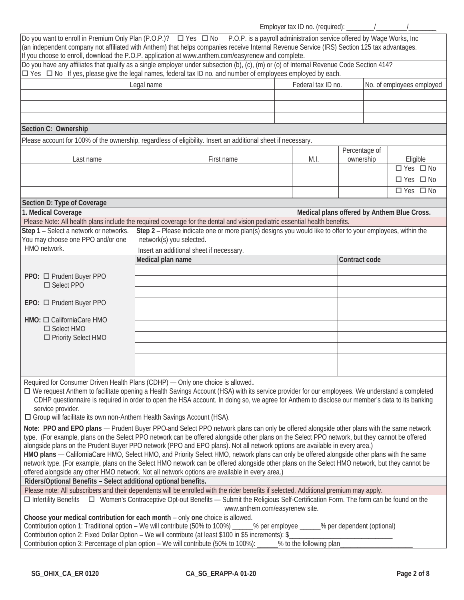Employer tax ID no. (required): \_\_\_\_\_\_\_\_/\_\_\_\_\_\_\_\_\_/\_\_\_\_\_\_\_\_ `

| Do you want to enroll in Premium Only Plan (P.O.P.)? $\square$ Yes $\square$ No P.O.P. is a payroll administration service offered by Wage Works, Inc<br>(an independent company not affiliated with Anthem) that helps companies receive Internal Revenue Service (IRS) Section 125 tax advantages.<br>If you choose to enroll, download the P.O.P. application at www.anthem.com/easyrenew and complete.<br>Do you have any affiliates that qualify as a single employer under subsection (b), (c), (m) or (o) of Internal Revenue Code Section 414?<br>□ Yes □ No If yes, please give the legal names, federal tax ID no. and number of employees employed by each.                                                                                                                                                                                                                                                                                                                                                                                                                                                                                                                  |            |                                                                                                                                                |                         |                            |                                             |
|-----------------------------------------------------------------------------------------------------------------------------------------------------------------------------------------------------------------------------------------------------------------------------------------------------------------------------------------------------------------------------------------------------------------------------------------------------------------------------------------------------------------------------------------------------------------------------------------------------------------------------------------------------------------------------------------------------------------------------------------------------------------------------------------------------------------------------------------------------------------------------------------------------------------------------------------------------------------------------------------------------------------------------------------------------------------------------------------------------------------------------------------------------------------------------------------|------------|------------------------------------------------------------------------------------------------------------------------------------------------|-------------------------|----------------------------|---------------------------------------------|
|                                                                                                                                                                                                                                                                                                                                                                                                                                                                                                                                                                                                                                                                                                                                                                                                                                                                                                                                                                                                                                                                                                                                                                                         | Legal name |                                                                                                                                                | Federal tax ID no.      |                            | No. of employees employed                   |
|                                                                                                                                                                                                                                                                                                                                                                                                                                                                                                                                                                                                                                                                                                                                                                                                                                                                                                                                                                                                                                                                                                                                                                                         |            |                                                                                                                                                |                         |                            |                                             |
|                                                                                                                                                                                                                                                                                                                                                                                                                                                                                                                                                                                                                                                                                                                                                                                                                                                                                                                                                                                                                                                                                                                                                                                         |            |                                                                                                                                                |                         |                            |                                             |
|                                                                                                                                                                                                                                                                                                                                                                                                                                                                                                                                                                                                                                                                                                                                                                                                                                                                                                                                                                                                                                                                                                                                                                                         |            |                                                                                                                                                |                         |                            |                                             |
| Section C: Ownership                                                                                                                                                                                                                                                                                                                                                                                                                                                                                                                                                                                                                                                                                                                                                                                                                                                                                                                                                                                                                                                                                                                                                                    |            |                                                                                                                                                |                         |                            |                                             |
| Please account for 100% of the ownership, regardless of eligibility. Insert an additional sheet if necessary.                                                                                                                                                                                                                                                                                                                                                                                                                                                                                                                                                                                                                                                                                                                                                                                                                                                                                                                                                                                                                                                                           |            |                                                                                                                                                |                         |                            |                                             |
| Last name                                                                                                                                                                                                                                                                                                                                                                                                                                                                                                                                                                                                                                                                                                                                                                                                                                                                                                                                                                                                                                                                                                                                                                               |            | First name                                                                                                                                     | M.I.                    | Percentage of<br>ownership | Eligible                                    |
|                                                                                                                                                                                                                                                                                                                                                                                                                                                                                                                                                                                                                                                                                                                                                                                                                                                                                                                                                                                                                                                                                                                                                                                         |            |                                                                                                                                                |                         |                            | $\Box$ Yes $\Box$ No                        |
|                                                                                                                                                                                                                                                                                                                                                                                                                                                                                                                                                                                                                                                                                                                                                                                                                                                                                                                                                                                                                                                                                                                                                                                         |            |                                                                                                                                                |                         |                            | □ Yes □ No                                  |
|                                                                                                                                                                                                                                                                                                                                                                                                                                                                                                                                                                                                                                                                                                                                                                                                                                                                                                                                                                                                                                                                                                                                                                                         |            |                                                                                                                                                |                         |                            | $\Box$ Yes $\Box$ No                        |
| Section D: Type of Coverage                                                                                                                                                                                                                                                                                                                                                                                                                                                                                                                                                                                                                                                                                                                                                                                                                                                                                                                                                                                                                                                                                                                                                             |            |                                                                                                                                                |                         |                            |                                             |
| 1. Medical Coverage<br>Please Note: All health plans include the required coverage for the dental and vision pediatric essential health benefits.                                                                                                                                                                                                                                                                                                                                                                                                                                                                                                                                                                                                                                                                                                                                                                                                                                                                                                                                                                                                                                       |            |                                                                                                                                                |                         |                            | Medical plans offered by Anthem Blue Cross. |
| Step 1 - Select a network or networks.                                                                                                                                                                                                                                                                                                                                                                                                                                                                                                                                                                                                                                                                                                                                                                                                                                                                                                                                                                                                                                                                                                                                                  |            | Step 2 - Please indicate one or more plan(s) designs you would like to offer to your employees, within the                                     |                         |                            |                                             |
| You may choose one PPO and/or one<br>HMO network.                                                                                                                                                                                                                                                                                                                                                                                                                                                                                                                                                                                                                                                                                                                                                                                                                                                                                                                                                                                                                                                                                                                                       |            | network(s) you selected.<br>Insert an additional sheet if necessary.                                                                           |                         |                            |                                             |
|                                                                                                                                                                                                                                                                                                                                                                                                                                                                                                                                                                                                                                                                                                                                                                                                                                                                                                                                                                                                                                                                                                                                                                                         |            | Medical plan name                                                                                                                              |                         | Contract code              |                                             |
|                                                                                                                                                                                                                                                                                                                                                                                                                                                                                                                                                                                                                                                                                                                                                                                                                                                                                                                                                                                                                                                                                                                                                                                         |            |                                                                                                                                                |                         |                            |                                             |
| PPO: □ Prudent Buyer PPO<br>□ Select PPO                                                                                                                                                                                                                                                                                                                                                                                                                                                                                                                                                                                                                                                                                                                                                                                                                                                                                                                                                                                                                                                                                                                                                |            |                                                                                                                                                |                         |                            |                                             |
| EPO: □ Prudent Buyer PPO                                                                                                                                                                                                                                                                                                                                                                                                                                                                                                                                                                                                                                                                                                                                                                                                                                                                                                                                                                                                                                                                                                                                                                |            |                                                                                                                                                |                         |                            |                                             |
| HMO: $\Box$ CaliforniaCare HMO                                                                                                                                                                                                                                                                                                                                                                                                                                                                                                                                                                                                                                                                                                                                                                                                                                                                                                                                                                                                                                                                                                                                                          |            |                                                                                                                                                |                         |                            |                                             |
| □ Select HMO<br>□ Priority Select HMO                                                                                                                                                                                                                                                                                                                                                                                                                                                                                                                                                                                                                                                                                                                                                                                                                                                                                                                                                                                                                                                                                                                                                   |            |                                                                                                                                                |                         |                            |                                             |
|                                                                                                                                                                                                                                                                                                                                                                                                                                                                                                                                                                                                                                                                                                                                                                                                                                                                                                                                                                                                                                                                                                                                                                                         |            |                                                                                                                                                |                         |                            |                                             |
|                                                                                                                                                                                                                                                                                                                                                                                                                                                                                                                                                                                                                                                                                                                                                                                                                                                                                                                                                                                                                                                                                                                                                                                         |            |                                                                                                                                                |                         |                            |                                             |
|                                                                                                                                                                                                                                                                                                                                                                                                                                                                                                                                                                                                                                                                                                                                                                                                                                                                                                                                                                                                                                                                                                                                                                                         |            |                                                                                                                                                |                         |                            |                                             |
| Required for Consumer Driven Health Plans (CDHP) - Only one choice is allowed.<br>□ We request Anthem to facilitate opening a Health Savings Account (HSA) with its service provider for our employees. We understand a completed<br>service provider.<br>□ Group will facilitate its own non-Anthem Health Savings Account (HSA).                                                                                                                                                                                                                                                                                                                                                                                                                                                                                                                                                                                                                                                                                                                                                                                                                                                      |            | CDHP questionnaire is required in order to open the HSA account. In doing so, we agree for Anthem to disclose our member's data to its banking |                         |                            |                                             |
| Note: PPO and EPO plans - Prudent Buyer PPO-and Select PPO network plans can only be offered alongside other plans with the same network<br>type. (For example, plans on the Select PPO network can be offered alongside other plans on the Select PPO network, but they cannot be offered<br>alongside plans on the Prudent Buyer PPO network (PPO and EPO plans). Not all network options are available in every area.)<br>HMO plans — CaliforniaCare HMO, Select HMO, and Priority Select HMO, network plans can only be offered alongside other plans with the same<br>network type. (For example, plans on the Select HMO network can be offered alongside other plans on the Select HMO network, but they cannot be<br>offered alongside any other HMO network. Not all network options are available in every area.)<br>Riders/Optional Benefits - Select additional optional benefits.<br>Please note: All subscribers and their dependents will be enrolled with the rider benefits if selected. Additional premium may apply.<br>□ Infertility Benefits □ Women's Contraceptive Opt-out Benefits - Submit the Religious Self-Certification Form. The form can be found on the |            |                                                                                                                                                |                         |                            |                                             |
| Choose your medical contribution for each month - only one choice is allowed.<br>Contribution option 1: Traditional option – We will contribute (50% to 100%) _____% per employee _____% per dependent (optional)<br>Contribution option 2: Fixed Dollar Option – We will contribute (at least \$100 in \$5 increments): \$<br>Contribution option 3: Percentage of plan option – We will contribute (50% to 100%): __                                                                                                                                                                                                                                                                                                                                                                                                                                                                                                                                                                                                                                                                                                                                                                  |            | www.anthem.com/easyrenew site.                                                                                                                 | % to the following plan |                            |                                             |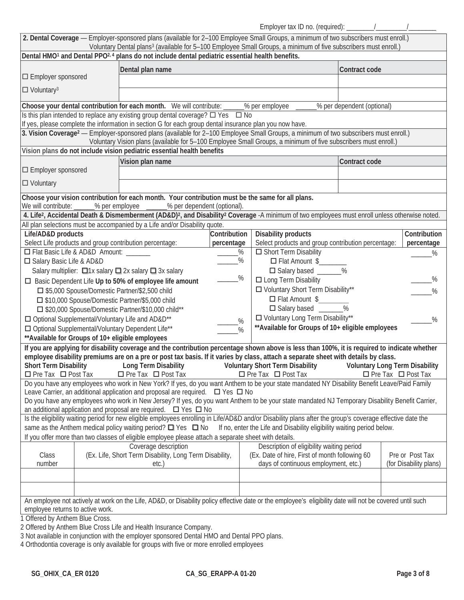Employer tax ID no. (required):  $\frac{1}{2}$  /

|                                                                | 2. Dental Coverage - Employer-sponsored plans (available for 2-100 Employee Small Groups, a minimum of two subscribers must enroll.)<br>Voluntary Dental plans <sup>3</sup> (available for 5-100 Employee Small Groups, a minimum of five subscribers must enroll.) |              |                                                                          |                            |                                                                         |
|----------------------------------------------------------------|---------------------------------------------------------------------------------------------------------------------------------------------------------------------------------------------------------------------------------------------------------------------|--------------|--------------------------------------------------------------------------|----------------------------|-------------------------------------------------------------------------|
|                                                                | Dental HMO <sup>1</sup> and Dental PPO <sup>2, 4</sup> plans do not include dental pediatric essential health benefits.                                                                                                                                             |              |                                                                          |                            |                                                                         |
|                                                                | Dental plan name                                                                                                                                                                                                                                                    |              |                                                                          | Contract code              |                                                                         |
| $\Box$ Employer sponsored                                      |                                                                                                                                                                                                                                                                     |              |                                                                          |                            |                                                                         |
|                                                                |                                                                                                                                                                                                                                                                     |              |                                                                          |                            |                                                                         |
| $\Box$ Voluntary <sup>3</sup>                                  |                                                                                                                                                                                                                                                                     |              |                                                                          |                            |                                                                         |
|                                                                | Choose your dental contribution for each month. We will contribute: _                                                                                                                                                                                               |              | __% per employee                                                         | % per dependent (optional) |                                                                         |
|                                                                | Is this plan intended to replace any existing group dental coverage? $\Box$ Yes $\Box$ No                                                                                                                                                                           |              |                                                                          |                            |                                                                         |
|                                                                | If yes, please complete the information in section G for each group dental insurance plan you now have.                                                                                                                                                             |              |                                                                          |                            |                                                                         |
|                                                                | 3. Vision Coverage <sup>2</sup> - Employer-sponsored plans (available for 2-100 Employee Small Groups, a minimum of two subscribers must enroll.)                                                                                                                   |              |                                                                          |                            |                                                                         |
|                                                                | Voluntary Vision plans (available for 5-100 Employee Small Groups, a minimum of five subscribers must enroll.)                                                                                                                                                      |              |                                                                          |                            |                                                                         |
|                                                                | Vision plans do not include vision pediatric essential health benefits                                                                                                                                                                                              |              |                                                                          |                            |                                                                         |
|                                                                | Vision plan name                                                                                                                                                                                                                                                    |              |                                                                          | Contract code              |                                                                         |
| $\Box$ Employer sponsored                                      |                                                                                                                                                                                                                                                                     |              |                                                                          |                            |                                                                         |
| $\square$ Voluntary                                            |                                                                                                                                                                                                                                                                     |              |                                                                          |                            |                                                                         |
|                                                                | Choose your vision contribution for each month. Your contribution must be the same for all plans.                                                                                                                                                                   |              |                                                                          |                            |                                                                         |
| We will contribute:                                            | _% per employee _______% per dependent (optional).                                                                                                                                                                                                                  |              |                                                                          |                            |                                                                         |
|                                                                | 4. Life <sup>2</sup> , Accidental Death & Dismemberment (AD&D) <sup>2</sup> , and Disability <sup>2</sup> Coverage -A minimum of two employees must enroll unless otherwise noted.                                                                                  |              |                                                                          |                            |                                                                         |
|                                                                | All plan selections must be accompanied by a Life and/or Disability quote.                                                                                                                                                                                          |              |                                                                          |                            |                                                                         |
| Life/AD&D products                                             |                                                                                                                                                                                                                                                                     | Contribution | <b>Disability products</b>                                               |                            | Contribution                                                            |
|                                                                | Select Life products and group contribution percentage:                                                                                                                                                                                                             | percentage   | Select products and group contribution percentage:                       |                            | percentage                                                              |
| □ Flat Basic Life & AD&D Amount:                               |                                                                                                                                                                                                                                                                     | $\%$         | Short Term Disability                                                    |                            | %                                                                       |
| □ Salary Basic Life & AD&D                                     |                                                                                                                                                                                                                                                                     | %            | □ Flat Amount \$                                                         |                            |                                                                         |
|                                                                | Salary multiplier: □1x salary □ 2x salary □ 3x salary                                                                                                                                                                                                               |              | □ Salary based _______%                                                  |                            |                                                                         |
|                                                                | □ Basic Dependent Life Up to 50% of employee life amount                                                                                                                                                                                                            | $\%$         | $\Box$ Long Term Disability                                              |                            | %                                                                       |
|                                                                | □ \$5,000 Spouse/Domestic Partner/\$2,500 child                                                                                                                                                                                                                     |              | □ Voluntary Short Term Disability**                                      |                            | %                                                                       |
|                                                                | □ \$10,000 Spouse/Domestic Partner/\$5,000 child                                                                                                                                                                                                                    |              | □ Flat Amount \$                                                         |                            |                                                                         |
|                                                                | □ \$20,000 Spouse/Domestic Partner/\$10,000 child**                                                                                                                                                                                                                 |              | □ Salary based ______%                                                   |                            |                                                                         |
|                                                                | □ Optional Supplemental/Voluntary Life and AD&D**                                                                                                                                                                                                                   | %            | □ Voluntary Long Term Disability**                                       |                            | $\%$                                                                    |
|                                                                | □ Optional Supplemental/Voluntary Dependent Life**                                                                                                                                                                                                                  | %            | ** Available for Groups of 10+ eligible employees                        |                            |                                                                         |
| ** Available for Groups of 10+ eligible employees              |                                                                                                                                                                                                                                                                     |              |                                                                          |                            |                                                                         |
|                                                                | If you are applying for disability coverage and the contribution percentage shown above is less than 100%, it is required to indicate whether                                                                                                                       |              |                                                                          |                            |                                                                         |
|                                                                | employee disability premiums are on a pre or post tax basis. If it varies by class, attach a separate sheet with details by class.                                                                                                                                  |              |                                                                          |                            |                                                                         |
| <b>Short Term Disability</b><br>$\Box$ Pre Tax $\Box$ Post Tax | <b>Long Term Disability</b><br>$\Box$ Pre Tax $\Box$ Post Tax                                                                                                                                                                                                       |              | <b>Voluntary Short Term Disability</b><br>$\Box$ Pre Tax $\Box$ Post Tax |                            | <b>Voluntary Long Term Disability</b><br>$\Box$ Pre Tax $\Box$ Post Tax |
|                                                                | Do you have any employees who work in New York? If yes, do you want Anthem to be your state mandated NY Disability Benefit Leave/Paid Family                                                                                                                        |              |                                                                          |                            |                                                                         |
|                                                                | Leave Carrier, an additional application and proposal are required. $\Box$ Yes $\Box$ No                                                                                                                                                                            |              |                                                                          |                            |                                                                         |
|                                                                | Do you have any employees who work in New Jersey? If yes, do you want Anthem to be your state mandated NJ Temporary Disability Benefit Carrier,                                                                                                                     |              |                                                                          |                            |                                                                         |
|                                                                | an additional application and proposal are required. $\Box$ Yes $\Box$ No                                                                                                                                                                                           |              |                                                                          |                            |                                                                         |
|                                                                | Is the eligibility waiting period for new eligible employees enrolling in Life/AD&D and/or Disability plans after the group's coverage effective date the                                                                                                           |              |                                                                          |                            |                                                                         |
|                                                                | same as the Anthem medical policy waiting period? $\Box$ Yes $\Box$ No If no, enter the Life and Disability eligibility waiting period below.                                                                                                                       |              |                                                                          |                            |                                                                         |
|                                                                | If you offer more than two classes of eligible employee please attach a separate sheet with details.                                                                                                                                                                |              |                                                                          |                            |                                                                         |
|                                                                | Coverage description                                                                                                                                                                                                                                                |              | Description of eligibility waiting period                                |                            |                                                                         |
| Class                                                          | (Ex. Life, Short Term Disability, Long Term Disability,                                                                                                                                                                                                             |              | (Ex. Date of hire, First of month following 60                           |                            | Pre or Post Tax                                                         |
| number                                                         | etc.                                                                                                                                                                                                                                                                |              | days of continuous employment, etc.)                                     |                            | (for Disability plans)                                                  |
|                                                                |                                                                                                                                                                                                                                                                     |              |                                                                          |                            |                                                                         |
|                                                                |                                                                                                                                                                                                                                                                     |              |                                                                          |                            |                                                                         |
|                                                                | An employee not actively at work on the Life, AD&D, or Disability policy effective date or the employee's eligibility date will not be covered until such                                                                                                           |              |                                                                          |                            |                                                                         |
| employee returns to active work.                               |                                                                                                                                                                                                                                                                     |              |                                                                          |                            |                                                                         |
| Offered by Anthem Blue Cross.                                  |                                                                                                                                                                                                                                                                     |              |                                                                          |                            |                                                                         |

2 Offered by Anthem Blue Cross Life and Health Insurance Company.

3 Not available in conjunction with the employer sponsored Dental HMO and Dental PPO plans.

4 Orthodontia coverage is only available for groups with five or more enrolled employees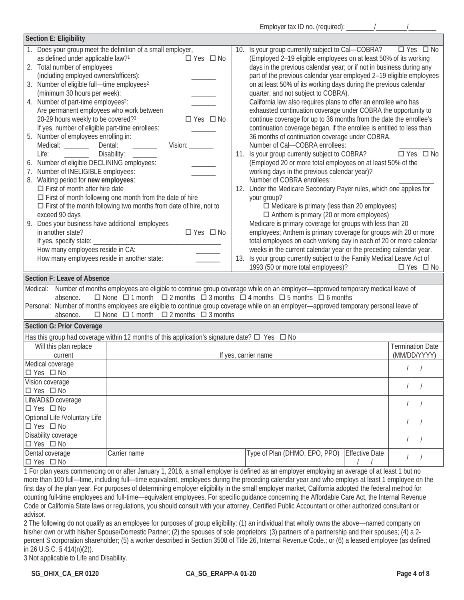| Section E: Eligibility                                                                                                                                                                                                                                                                                                                                                                                                                                                                                                                                                                                                                                                                                                                                                                                                                                          |                                                                                                                                                                                                                                                                                                                                                                                              |     |                                                                                                                                                                                                                                                                                                                                                                                                                                                                                                                                                                                                                                                                                                                                                                                                                                                                                                                                                                                                                                                                                                                                                                                                                                                                                                                                                                                                                                                                                                                                                            |                       |                                         |
|-----------------------------------------------------------------------------------------------------------------------------------------------------------------------------------------------------------------------------------------------------------------------------------------------------------------------------------------------------------------------------------------------------------------------------------------------------------------------------------------------------------------------------------------------------------------------------------------------------------------------------------------------------------------------------------------------------------------------------------------------------------------------------------------------------------------------------------------------------------------|----------------------------------------------------------------------------------------------------------------------------------------------------------------------------------------------------------------------------------------------------------------------------------------------------------------------------------------------------------------------------------------------|-----|------------------------------------------------------------------------------------------------------------------------------------------------------------------------------------------------------------------------------------------------------------------------------------------------------------------------------------------------------------------------------------------------------------------------------------------------------------------------------------------------------------------------------------------------------------------------------------------------------------------------------------------------------------------------------------------------------------------------------------------------------------------------------------------------------------------------------------------------------------------------------------------------------------------------------------------------------------------------------------------------------------------------------------------------------------------------------------------------------------------------------------------------------------------------------------------------------------------------------------------------------------------------------------------------------------------------------------------------------------------------------------------------------------------------------------------------------------------------------------------------------------------------------------------------------------|-----------------------|-----------------------------------------|
| as defined under applicable law? <sup>1</sup><br>2. Total number of employees<br>(including employed owners/officers):<br>Number of eligible full-time employees <sup>2</sup><br>3.<br>(minimum 30 hours per week):<br>4. Number of part-time employees <sup>2</sup> :<br>Are permanent employees who work between<br>20-29 hours weekly to be covered?3<br>If yes, number of eligible part-time enrollees:<br>5. Number of employees enrolling in:<br>Medical: _______<br>Life:<br>6. Number of eligible DECLINING employees:<br>Number of INELIGIBLE employees:<br>Waiting period for new employees:<br>8.<br>$\Box$ First of month after hire date<br>exceed 90 days<br>Does your business have additional employees<br>9.<br>in another state?<br>If yes, specify state:<br>How many employees reside in CA:<br>How many employees reside in another state: | 1. Does your group meet the definition of a small employer,<br>□ Yes □ No<br>□ Yes □ No<br>Dental:<br>$V$ ision: $\qquad \qquad$<br>Disability:<br>$\Box$ First of month following one month from the date of hire<br>$\Box$ First of the month following two months from date of hire, not to<br>□ Yes □ No                                                                                 | 13. | 10. Is your group currently subject to Cal-COBRA? □ Yes □ No<br>(Employed 2-19 eligible employees on at least 50% of its working<br>days in the previous calendar year; or if not in business during any<br>part of the previous calendar year employed 2-19 eligible employees<br>on at least 50% of its working days during the previous calendar<br>quarter; and not subject to COBRA).<br>California law also requires plans to offer an enrollee who has<br>exhausted continuation coverage under COBRA the opportunity to<br>continue coverage for up to 36 months from the date the enrollee's<br>continuation coverage began, if the enrollee is entitled to less than<br>36 months of continuation coverage under COBRA.<br>Number of Cal-COBRA enrollees:<br>11. Is your group currently subject to COBRA?<br>(Employed 20 or more total employees on at least 50% of the<br>working days in the previous calendar year)?<br>Number of COBRA enrollees:<br>12. Under the Medicare Secondary Payer rules, which one applies for<br>your group?<br>$\Box$ Medicare is primary (less than 20 employees)<br>$\Box$ Anthem is primary (20 or more employees)<br>Medicare is primary coverage for groups with less than 20<br>employees; Anthem is primary coverage for groups with 20 or more<br>total employees on each working day in each of 20 or more calendar<br>weeks in the current calendar year or the preceding calendar year.<br>Is your group currently subject to the Family Medical Leave Act of<br>1993 (50 or more total employees)? |                       | □ Yes □ No<br>$\Box$ Yes $\Box$ No      |
| Section F: Leave of Absence<br>absence.                                                                                                                                                                                                                                                                                                                                                                                                                                                                                                                                                                                                                                                                                                                                                                                                                         | Medical: Number of months employees are eligible to continue group coverage while on an employer—approved temporary medical leave of<br>$\Box$ None $\Box$ 1 month $\Box$ 2 months $\Box$ 3 months $\Box$ 4 months $\Box$ 5 months $\Box$ 6 months<br>Personal: Number of months employees are eligible to continue group coverage while on an employer—approved temporary personal leave of |     |                                                                                                                                                                                                                                                                                                                                                                                                                                                                                                                                                                                                                                                                                                                                                                                                                                                                                                                                                                                                                                                                                                                                                                                                                                                                                                                                                                                                                                                                                                                                                            |                       |                                         |
| absence.                                                                                                                                                                                                                                                                                                                                                                                                                                                                                                                                                                                                                                                                                                                                                                                                                                                        | $\Box$ None $\Box$ 1 month $\Box$ 2 months $\Box$ 3 months                                                                                                                                                                                                                                                                                                                                   |     |                                                                                                                                                                                                                                                                                                                                                                                                                                                                                                                                                                                                                                                                                                                                                                                                                                                                                                                                                                                                                                                                                                                                                                                                                                                                                                                                                                                                                                                                                                                                                            |                       |                                         |
| Section G: Prior Coverage                                                                                                                                                                                                                                                                                                                                                                                                                                                                                                                                                                                                                                                                                                                                                                                                                                       |                                                                                                                                                                                                                                                                                                                                                                                              |     |                                                                                                                                                                                                                                                                                                                                                                                                                                                                                                                                                                                                                                                                                                                                                                                                                                                                                                                                                                                                                                                                                                                                                                                                                                                                                                                                                                                                                                                                                                                                                            |                       |                                         |
|                                                                                                                                                                                                                                                                                                                                                                                                                                                                                                                                                                                                                                                                                                                                                                                                                                                                 | Has this group had coverage within 12 months of this application's signature date? $\square$ Yes $\square$ No                                                                                                                                                                                                                                                                                |     |                                                                                                                                                                                                                                                                                                                                                                                                                                                                                                                                                                                                                                                                                                                                                                                                                                                                                                                                                                                                                                                                                                                                                                                                                                                                                                                                                                                                                                                                                                                                                            |                       |                                         |
| Will this plan replace                                                                                                                                                                                                                                                                                                                                                                                                                                                                                                                                                                                                                                                                                                                                                                                                                                          |                                                                                                                                                                                                                                                                                                                                                                                              |     |                                                                                                                                                                                                                                                                                                                                                                                                                                                                                                                                                                                                                                                                                                                                                                                                                                                                                                                                                                                                                                                                                                                                                                                                                                                                                                                                                                                                                                                                                                                                                            |                       | <b>Termination Date</b><br>(MM/DD/YYYY) |
| current<br>Medical coverage                                                                                                                                                                                                                                                                                                                                                                                                                                                                                                                                                                                                                                                                                                                                                                                                                                     |                                                                                                                                                                                                                                                                                                                                                                                              |     | If yes, carrier name                                                                                                                                                                                                                                                                                                                                                                                                                                                                                                                                                                                                                                                                                                                                                                                                                                                                                                                                                                                                                                                                                                                                                                                                                                                                                                                                                                                                                                                                                                                                       |                       |                                         |
| $\Box$ Yes $\Box$ No                                                                                                                                                                                                                                                                                                                                                                                                                                                                                                                                                                                                                                                                                                                                                                                                                                            |                                                                                                                                                                                                                                                                                                                                                                                              |     |                                                                                                                                                                                                                                                                                                                                                                                                                                                                                                                                                                                                                                                                                                                                                                                                                                                                                                                                                                                                                                                                                                                                                                                                                                                                                                                                                                                                                                                                                                                                                            |                       |                                         |
| Vision coverage                                                                                                                                                                                                                                                                                                                                                                                                                                                                                                                                                                                                                                                                                                                                                                                                                                                 |                                                                                                                                                                                                                                                                                                                                                                                              |     |                                                                                                                                                                                                                                                                                                                                                                                                                                                                                                                                                                                                                                                                                                                                                                                                                                                                                                                                                                                                                                                                                                                                                                                                                                                                                                                                                                                                                                                                                                                                                            |                       |                                         |
| $\Box$ Yes $\Box$ No                                                                                                                                                                                                                                                                                                                                                                                                                                                                                                                                                                                                                                                                                                                                                                                                                                            |                                                                                                                                                                                                                                                                                                                                                                                              |     |                                                                                                                                                                                                                                                                                                                                                                                                                                                                                                                                                                                                                                                                                                                                                                                                                                                                                                                                                                                                                                                                                                                                                                                                                                                                                                                                                                                                                                                                                                                                                            |                       |                                         |
| Life/AD&D coverage                                                                                                                                                                                                                                                                                                                                                                                                                                                                                                                                                                                                                                                                                                                                                                                                                                              |                                                                                                                                                                                                                                                                                                                                                                                              |     |                                                                                                                                                                                                                                                                                                                                                                                                                                                                                                                                                                                                                                                                                                                                                                                                                                                                                                                                                                                                                                                                                                                                                                                                                                                                                                                                                                                                                                                                                                                                                            |                       |                                         |
| □ Yes □ No<br>Optional Life /Voluntary Life                                                                                                                                                                                                                                                                                                                                                                                                                                                                                                                                                                                                                                                                                                                                                                                                                     |                                                                                                                                                                                                                                                                                                                                                                                              |     |                                                                                                                                                                                                                                                                                                                                                                                                                                                                                                                                                                                                                                                                                                                                                                                                                                                                                                                                                                                                                                                                                                                                                                                                                                                                                                                                                                                                                                                                                                                                                            |                       |                                         |
| $\Box$ Yes $\Box$ No                                                                                                                                                                                                                                                                                                                                                                                                                                                                                                                                                                                                                                                                                                                                                                                                                                            |                                                                                                                                                                                                                                                                                                                                                                                              |     |                                                                                                                                                                                                                                                                                                                                                                                                                                                                                                                                                                                                                                                                                                                                                                                                                                                                                                                                                                                                                                                                                                                                                                                                                                                                                                                                                                                                                                                                                                                                                            |                       |                                         |
| <b>Disability coverage</b>                                                                                                                                                                                                                                                                                                                                                                                                                                                                                                                                                                                                                                                                                                                                                                                                                                      |                                                                                                                                                                                                                                                                                                                                                                                              |     |                                                                                                                                                                                                                                                                                                                                                                                                                                                                                                                                                                                                                                                                                                                                                                                                                                                                                                                                                                                                                                                                                                                                                                                                                                                                                                                                                                                                                                                                                                                                                            |                       |                                         |
| $\Box$ Yes $\Box$ No                                                                                                                                                                                                                                                                                                                                                                                                                                                                                                                                                                                                                                                                                                                                                                                                                                            |                                                                                                                                                                                                                                                                                                                                                                                              |     |                                                                                                                                                                                                                                                                                                                                                                                                                                                                                                                                                                                                                                                                                                                                                                                                                                                                                                                                                                                                                                                                                                                                                                                                                                                                                                                                                                                                                                                                                                                                                            |                       |                                         |
| Dental coverage                                                                                                                                                                                                                                                                                                                                                                                                                                                                                                                                                                                                                                                                                                                                                                                                                                                 | Carrier name                                                                                                                                                                                                                                                                                                                                                                                 |     | Type of Plan (DHMO, EPO, PPO)                                                                                                                                                                                                                                                                                                                                                                                                                                                                                                                                                                                                                                                                                                                                                                                                                                                                                                                                                                                                                                                                                                                                                                                                                                                                                                                                                                                                                                                                                                                              | <b>Effective Date</b> |                                         |
| $\Box$ Yes $\Box$ No                                                                                                                                                                                                                                                                                                                                                                                                                                                                                                                                                                                                                                                                                                                                                                                                                                            | 1.2011                                                                                                                                                                                                                                                                                                                                                                                       |     |                                                                                                                                                                                                                                                                                                                                                                                                                                                                                                                                                                                                                                                                                                                                                                                                                                                                                                                                                                                                                                                                                                                                                                                                                                                                                                                                                                                                                                                                                                                                                            |                       |                                         |

1 For plan years commencing on or after January 1, 2016, a small employer is defined as an employer employing an average of at least 1 but no more than 100 full—time, including full—time equivalent, employees during the preceding calendar year and who employs at least 1 employee on the first day of the plan year. For purposes of determining employer eligibility in the small employer market, California adopted the federal method for counting full-time employees and full-time—equivalent employees. For specific guidance concerning the Affordable Care Act, the Internal Revenue Code or California State laws or regulations, you should consult with your attorney, Certified Public Accountant or other authorized consultant or advisor.

2 The following do not qualify as an employee for purposes of group eligibility: (1) an individual that wholly owns the above—named company on his/her own or with his/her Spouse/Domestic Partner; (2) the spouses of sole proprietors; (3) partners of a partnership and their spouses; (4) a 2percent S corporation shareholder; (5) a worker described in Section 3508 of Title 26, Internal Revenue Code.; or (6) a leased employee (as defined in 26 U.S.C. § 414(n)(2)).

3 Not applicable to Life and Disability.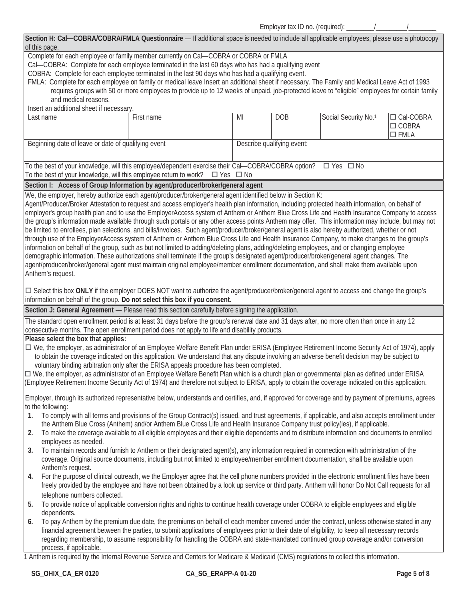Employer tax ID no. (required): \_\_\_\_\_\_\_\_/\_\_\_\_\_\_\_\_\_/\_\_\_\_\_\_\_\_ `

| of this page.                                                   | Section H: Cal-COBRA/COBRA/FMLA Questionnaire - If additional space is needed to include all applicable employees, please use a photocopy                                                                                                                                                                                                                                                                                                                                                                                                                                                                                                                                                                                                                                                                                                                                                                                                                                                                                                                                                                                                                                                   |    |                            |                                  |                                |
|-----------------------------------------------------------------|---------------------------------------------------------------------------------------------------------------------------------------------------------------------------------------------------------------------------------------------------------------------------------------------------------------------------------------------------------------------------------------------------------------------------------------------------------------------------------------------------------------------------------------------------------------------------------------------------------------------------------------------------------------------------------------------------------------------------------------------------------------------------------------------------------------------------------------------------------------------------------------------------------------------------------------------------------------------------------------------------------------------------------------------------------------------------------------------------------------------------------------------------------------------------------------------|----|----------------------------|----------------------------------|--------------------------------|
|                                                                 | Complete for each employee or family member currently on Cal-COBRA or COBRA or FMLA<br>Cal—COBRA: Complete for each employee terminated in the last 60 days who has had a qualifying event                                                                                                                                                                                                                                                                                                                                                                                                                                                                                                                                                                                                                                                                                                                                                                                                                                                                                                                                                                                                  |    |                            |                                  |                                |
|                                                                 | COBRA: Complete for each employee terminated in the last 90 days who has had a qualifying event.                                                                                                                                                                                                                                                                                                                                                                                                                                                                                                                                                                                                                                                                                                                                                                                                                                                                                                                                                                                                                                                                                            |    |                            |                                  |                                |
|                                                                 | FMLA: Complete for each employee on family or medical leave Insert an additional sheet if necessary. The Family and Medical Leave Act of 1993<br>requires groups with 50 or more employees to provide up to 12 weeks of unpaid, job-protected leave to "eligible" employees for certain family                                                                                                                                                                                                                                                                                                                                                                                                                                                                                                                                                                                                                                                                                                                                                                                                                                                                                              |    |                            |                                  |                                |
| and medical reasons.<br>Insert an additional sheet if necessary |                                                                                                                                                                                                                                                                                                                                                                                                                                                                                                                                                                                                                                                                                                                                                                                                                                                                                                                                                                                                                                                                                                                                                                                             |    |                            |                                  |                                |
| Last name                                                       | First name                                                                                                                                                                                                                                                                                                                                                                                                                                                                                                                                                                                                                                                                                                                                                                                                                                                                                                                                                                                                                                                                                                                                                                                  | MI | <b>DOB</b>                 | Social Security No. <sup>1</sup> | □ Cal-COBRA                    |
|                                                                 |                                                                                                                                                                                                                                                                                                                                                                                                                                                                                                                                                                                                                                                                                                                                                                                                                                                                                                                                                                                                                                                                                                                                                                                             |    |                            |                                  | $\Box$ COBRA<br>$\square$ FMLA |
| Beginning date of leave or date of qualifying event             |                                                                                                                                                                                                                                                                                                                                                                                                                                                                                                                                                                                                                                                                                                                                                                                                                                                                                                                                                                                                                                                                                                                                                                                             |    | Describe qualifying event: |                                  |                                |
|                                                                 | To the best of your knowledge, will this employee/dependent exercise their Cal—COBRA/COBRA option? $\Box$ Yes $\Box$ No<br>To the best of your knowledge, will this employee return to work? $\Box$ Yes $\Box$ No                                                                                                                                                                                                                                                                                                                                                                                                                                                                                                                                                                                                                                                                                                                                                                                                                                                                                                                                                                           |    |                            |                                  |                                |
|                                                                 | Section I: Access of Group Information by agent/producer/broker/general agent                                                                                                                                                                                                                                                                                                                                                                                                                                                                                                                                                                                                                                                                                                                                                                                                                                                                                                                                                                                                                                                                                                               |    |                            |                                  |                                |
|                                                                 | We, the employer, hereby authorize each agent/producer/broker/general agent identified below in Section K:                                                                                                                                                                                                                                                                                                                                                                                                                                                                                                                                                                                                                                                                                                                                                                                                                                                                                                                                                                                                                                                                                  |    |                            |                                  |                                |
| Anthem's request.                                               | Agent/Producer/Broker Attestation to request and access employer's health plan information, including protected health information, on behalf of<br>employer's group health plan and to use the EmployerAccess system of Anthem or Anthem Blue Cross Life and Health Insurance Company to access<br>the group's information made available through such portals or any other access points Anthem may offer. This information may include, but may not<br>be limited to enrollees, plan selections, and bills/invoices. Such agent/producer/broker/general agent is also hereby authorized, whether or not<br>through use of the EmployerAccess system of Anthem or Anthem Blue Cross Life and Health Insurance Company, to make changes to the group's<br>information on behalf of the group, such as but not limited to adding/deleting plans, adding/deleting employees, and or changing employee<br>demographic information. These authorizations shall terminate if the group's designated agent/producer/broker/general agent changes. The<br>agent/producer/broker/general agent must maintain original employee/member enrollment documentation, and shall make them available upon |    |                            |                                  |                                |
|                                                                 | □ Select this box ONLY if the employer DOES NOT want to authorize the agent/producer/broker/general agent to access and change the group's                                                                                                                                                                                                                                                                                                                                                                                                                                                                                                                                                                                                                                                                                                                                                                                                                                                                                                                                                                                                                                                  |    |                            |                                  |                                |
|                                                                 | information on behalf of the group. Do not select this box if you consent.                                                                                                                                                                                                                                                                                                                                                                                                                                                                                                                                                                                                                                                                                                                                                                                                                                                                                                                                                                                                                                                                                                                  |    |                            |                                  |                                |
|                                                                 | Section J: General Agreement - Please read this section carefully before signing the application.                                                                                                                                                                                                                                                                                                                                                                                                                                                                                                                                                                                                                                                                                                                                                                                                                                                                                                                                                                                                                                                                                           |    |                            |                                  |                                |
|                                                                 | The standard open enrollment period is at least 31 days before the group's renewal date and 31 days after, no more often than once in any 12<br>consecutive months. The open enrollment period does not apply to life and disability products.                                                                                                                                                                                                                                                                                                                                                                                                                                                                                                                                                                                                                                                                                                                                                                                                                                                                                                                                              |    |                            |                                  |                                |
| Please select the box that applies:                             | □ We, the employer, as administrator of an Employee Welfare Benefit Plan under ERISA (Employee Retirement Income Security Act of 1974), apply<br>to obtain the coverage indicated on this application. We understand that any dispute involving an adverse benefit decision may be subject to<br>voluntary binding arbitration only after the ERISA appeals procedure has been completed.<br>□ We, the employer, as administrator of an Employee Welfare Benefit Plan which is a church plan or governmental plan as defined under ERISA<br>(Employee Retirement Income Security Act of 1974) and therefore not subject to ERISA, apply to obtain the coverage indicated on this application.                                                                                                                                                                                                                                                                                                                                                                                                                                                                                               |    |                            |                                  |                                |
| to the following:                                               | Employer, through its authorized representative below, understands and certifies, and, if approved for coverage and by payment of premiums, agrees                                                                                                                                                                                                                                                                                                                                                                                                                                                                                                                                                                                                                                                                                                                                                                                                                                                                                                                                                                                                                                          |    |                            |                                  |                                |
| 1.<br>2.<br>employees as needed.                                | To comply with all terms and provisions of the Group Contract(s) issued, and trust agreements, if applicable, and also accepts enrollment under<br>the Anthem Blue Cross (Anthem) and/or Anthem Blue Cross Life and Health Insurance Company trust policy(ies), if applicable.<br>To make the coverage available to all eligible employees and their eligible dependents and to distribute information and documents to enrolled                                                                                                                                                                                                                                                                                                                                                                                                                                                                                                                                                                                                                                                                                                                                                            |    |                            |                                  |                                |
| 3.<br>Anthem's request.                                         | To maintain records and furnish to Anthem or their designated agent(s), any information required in connection with administration of the<br>coverage. Original source documents, including but not limited to employee/member enrollment documentation, shall be available upon                                                                                                                                                                                                                                                                                                                                                                                                                                                                                                                                                                                                                                                                                                                                                                                                                                                                                                            |    |                            |                                  |                                |
| 4.<br>telephone numbers collected.                              | For the purpose of clinical outreach, we the Employer agree that the cell phone numbers provided in the electronic enrollment files have been<br>freely provided by the employee and have not been obtained by a look up service or third party. Anthem will honor Do Not Call requests for all                                                                                                                                                                                                                                                                                                                                                                                                                                                                                                                                                                                                                                                                                                                                                                                                                                                                                             |    |                            |                                  |                                |
| 5.<br>dependents.                                               | To provide notice of applicable conversion rights and rights to continue health coverage under COBRA to eligible employees and eligible                                                                                                                                                                                                                                                                                                                                                                                                                                                                                                                                                                                                                                                                                                                                                                                                                                                                                                                                                                                                                                                     |    |                            |                                  |                                |
| 6.<br>process, if applicable.                                   | To pay Anthem by the premium due date, the premiums on behalf of each member covered under the contract, unless otherwise stated in any<br>financial agreement between the parties, to submit applications of employees prior to their date of eligibility, to keep all necessary records<br>regarding membership, to assume responsibility for handling the COBRA and state-mandated continued group coverage and/or conversion<br>1 Anthem is required by the Internal Revenue Service and Centers for Medicare & Medicaid (CMS) regulations to collect this information.                                                                                                                                                                                                                                                                                                                                                                                                                                                                                                                                                                                                                 |    |                            |                                  |                                |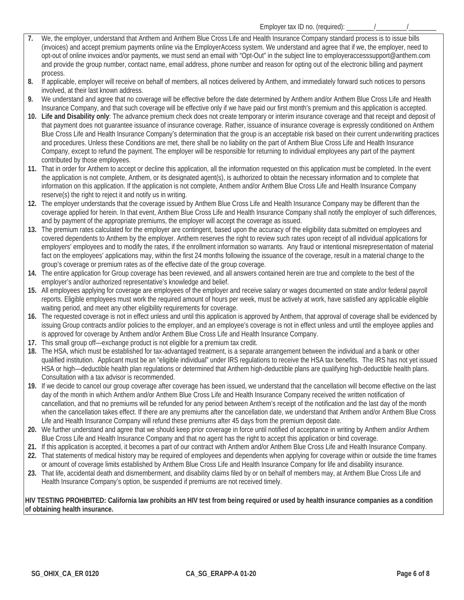- **7.** We, the employer, understand that Anthem and Anthem Blue Cross Life and Health Insurance Company standard process is to issue bills (invoices) and accept premium payments online via the EmployerAccess system. We understand and agree that if we, the employer, need to opt-out of online invoices and/or payments, we must send an email with "Opt-Out" in the subject line to employeraccesssupport@anthem.com and provide the group number, contact name, email address, phone number and reason for opting out of the electronic billing and payment process.
- **8.** If applicable, employer will receive on behalf of members, all notices delivered by Anthem, and immediately forward such notices to persons involved, at their last known address.
- **9.** We understand and agree that no coverage will be effective before the date determined by Anthem and/or Anthem Blue Cross Life and Health Insurance Company, and that such coverage will be effective only if we have paid our first month's premium and this application is accepted.
- **10. Life and Disability only**: The advance premium check does not create temporary or interim insurance coverage and that receipt and deposit of that payment does not guarantee issuance of insurance coverage. Rather, issuance of insurance coverage is expressly conditioned on Anthem Blue Cross Life and Health Insurance Company's determination that the group is an acceptable risk based on their current underwriting practices and procedures. Unless these Conditions are met, there shall be no liability on the part of Anthem Blue Cross Life and Health Insurance Company, except to refund the payment. The employer will be responsible for returning to individual employees any part of the payment contributed by those employees.
- **11.** That in order for Anthem to accept or decline this application, all the information requested on this application must be completed. In the event the application is not complete, Anthem, or its designated agent(s), is authorized to obtain the necessary information and to complete that information on this application. If the application is not complete, Anthem and/or Anthem Blue Cross Life and Health Insurance Company reserve(s) the right to reject it and notify us in writing.
- **12.** The employer understands that the coverage issued by Anthem Blue Cross Life and Health Insurance Company may be different than the coverage applied for herein. In that event, Anthem Blue Cross Life and Health Insurance Company shall notify the employer of such differences, and by payment of the appropriate premiums, the employer will accept the coverage as issued.
- **13.** The premium rates calculated for the employer are contingent, based upon the accuracy of the eligibility data submitted on employees and covered dependents to Anthem by the employer. Anthem reserves the right to review such rates upon receipt of all individual applications for employers' employees and to modify the rates, if the enrollment information so warrants. Any fraud or intentional misrepresentation of material fact on the employees' applications may, within the first 24 months following the issuance of the coverage, result in a material change to the group's coverage or premium rates as of the effective date of the group coverage.
- **14.** The entire application for Group coverage has been reviewed, and all answers contained herein are true and complete to the best of the employer's and/or authorized representative's knowledge and belief.
- **15.** All employees applying for coverage are employees of the employer and receive salary or wages documented on state and/or federal payroll reports. Eligible employees must work the required amount of hours per week, must be actively at work, have satisfied any applicable eligible waiting period, and meet any other eligibility requirements for coverage.
- **16.** The requested coverage is not in effect unless and until this application is approved by Anthem, that approval of coverage shall be evidenced by issuing Group contracts and/or policies to the employer, and an employee's coverage is not in effect unless and until the employee applies and is approved for coverage by Anthem and/or Anthem Blue Cross Life and Health Insurance Company.
- **17.** This small group off—exchange product is not eligible for a premium tax credit.
- **18.** The HSA, which must be established for tax-advantaged treatment, is a separate arrangement between the individual and a bank or other qualified institution. Applicant must be an "eligible individual" under IRS regulations to receive the HSA tax benefits. The IRS has not yet issued HSA or high—deductible health plan regulations or determined that Anthem high-deductible plans are qualifying high-deductible health plans. Consultation with a tax advisor is recommended.
- **19.** If we decide to cancel our group coverage after coverage has been issued, we understand that the cancellation will become effective on the last day of the month in which Anthem and/or Anthem Blue Cross Life and Health Insurance Company received the written notification of cancellation, and that no premiums will be refunded for any period between Anthem's receipt of the notification and the last day of the month when the cancellation takes effect. If there are any premiums after the cancellation date, we understand that Anthem and/or Anthem Blue Cross Life and Health Insurance Company will refund these premiums after 45 days from the premium deposit date.
- **20.** We further understand and agree that we should keep prior coverage in force until notified of acceptance in writing by Anthem and/or Anthem Blue Cross Life and Health Insurance Company and that no agent has the right to accept this application or bind coverage.
- **21.** If this application is accepted, it becomes a part of our contract with Anthem and/or Anthem Blue Cross Life and Health Insurance Company.
- **22.** That statements of medical history may be required of employees and dependents when applying for coverage within or outside the time frames or amount of coverage limits established by Anthem Blue Cross Life and Health Insurance Company for life and disability insurance.
- **23.** That life, accidental death and dismemberment, and disability claims filed by or on behalf of members may, at Anthem Blue Cross Life and Health Insurance Company's option, be suspended if premiums are not received timely.

**HIV TESTING PROHIBITED: California law prohibits an HIV test from being required or used by health insurance companies as a condition of obtaining health insurance.**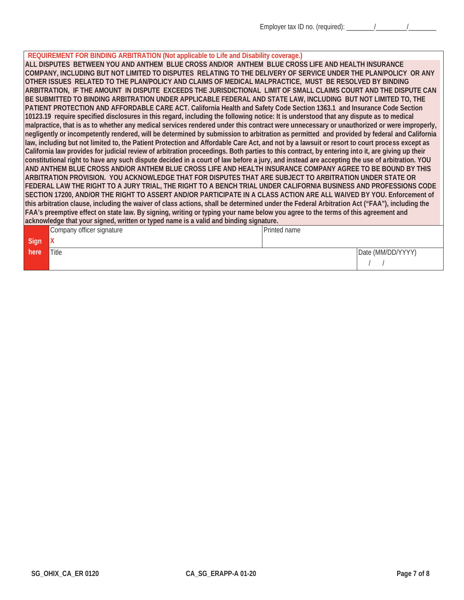## **REQUIREMENT FOR BINDING ARBITRATION (Not applicable to Life and Disability coverage.)**

**ALL DISPUTES BETWEEN YOU AND ANTHEM BLUE CROSS AND/OR ANTHEM BLUE CROSS LIFE AND HEALTH INSURANCE COMPANY, INCLUDING BUT NOT LIMITED TO DISPUTES RELATING TO THE DELIVERY OF SERVICE UNDER THE PLAN/POLICY OR ANY OTHER ISSUES RELATED TO THE PLAN/POLICY AND CLAIMS OF MEDICAL MALPRACTICE, MUST BE RESOLVED BY BINDING ARBITRATION, IF THE AMOUNT IN DISPUTE EXCEEDS THE JURISDICTIONAL LIMIT OF SMALL CLAIMS COURT AND THE DISPUTE CAN BE SUBMITTED TO BINDING ARBITRATION UNDER APPLICABLE FEDERAL AND STATE LAW, INCLUDING BUT NOT LIMITED TO, THE PATIENT PROTECTION AND AFFORDABLE CARE ACT. California Health and Safety Code Section 1363.1 and Insurance Code Section 10123.19 require specified disclosures in this regard, including the following notice: It is understood that any dispute as to medical malpractice, that is as to whether any medical services rendered under this contract were unnecessary or unauthorized or were improperly, negligently or incompetently rendered, will be determined by submission to arbitration as permitted and provided by federal and California law, including but not limited to, the Patient Protection and Affordable Care Act, and not by a lawsuit or resort to court process except as California law provides for judicial review of arbitration proceedings. Both parties to this contract, by entering into it, are giving up their constitutional right to have any such dispute decided in a court of law before a jury, and instead are accepting the use of arbitration. YOU AND ANTHEM BLUE CROSS AND/OR ANTHEM BLUE CROSS LIFE AND HEALTH INSURANCE COMPANY AGREE TO BE BOUND BY THIS ARBITRATION PROVISION. YOU ACKNOWLEDGE THAT FOR DISPUTES THAT ARE SUBJECT TO ARBITRATION UNDER STATE OR FEDERAL LAW THE RIGHT TO A JURY TRIAL, THE RIGHT TO A BENCH TRIAL UNDER CALIFORNIA BUSINESS AND PROFESSIONS CODE SECTION 17200, AND/OR THE RIGHT TO ASSERT AND/OR PARTICIPATE IN A CLASS ACTION ARE ALL WAIVED BY YOU. Enforcement of this arbitration clause, including the waiver of class actions, shall be determined under the Federal Arbitration Act ("FAA"), including the FAA's preemptive effect on state law. By signing, writing or typing your name below you agree to the terms of this agreement and acknowledge that your signed, written or typed name is a valid and binding signature.** 

|      | Company officer signature | Printed name |                   |
|------|---------------------------|--------------|-------------------|
| Sign | $\mathbf{v}$<br>v         |              |                   |
| here | Title                     |              | Date (MM/DD/YYYY) |
|      |                           |              |                   |